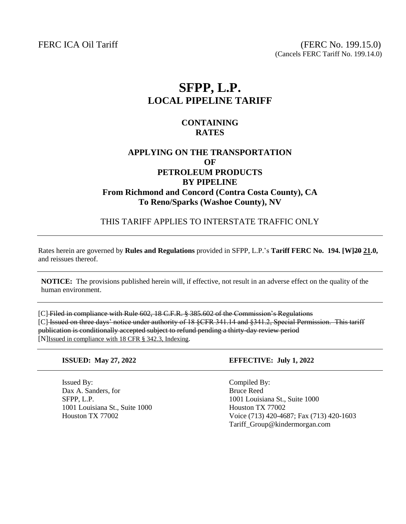FERC ICA Oil Tariff (FERC No. 199.15.0) (Cancels FERC Tariff No. 199.14.0)

# **SFPP, L.P. LOCAL PIPELINE TARIFF**

#### **CONTAINING RATES**

## **APPLYING ON THE TRANSPORTATION OF PETROLEUM PRODUCTS BY PIPELINE From Richmond and Concord (Contra Costa County), CA To Reno/Sparks (Washoe County), NV**

THIS TARIFF APPLIES TO INTERSTATE TRAFFIC ONLY

Rates herein are governed by **Rules and Regulations** provided in SFPP, L.P.'s **Tariff FERC No. 194. [W]20 21.0,** and reissues thereof.

**NOTICE:** The provisions published herein will, if effective, not result in an adverse effect on the quality of the human environment.

[C] Filed in compliance with Rule 602, 18 C.F.R. § 385.602 of the Commission's Regulations [C] Issued on three days' notice under authority of 18 §CFR 341.14 and §341.2, Special Permission. This tariff publication is conditionally accepted subject to refund pending a thirty-day review period [N]Issued in compliance with 18 CFR § 342.3, Indexing.

Issued By: Compiled By: Dax A. Sanders, for Bruce Reed 1001 Louisiana St., Suite 1000 Houston TX 77002

#### **ISSUED: May 27, 2022 EFFECTIVE: July 1, 2022**

SFPP, L.P. 1001 Louisiana St., Suite 1000 Houston TX 77002 Voice (713) 420-4687; Fax (713) 420-1603 Tariff\_Group@kindermorgan.com